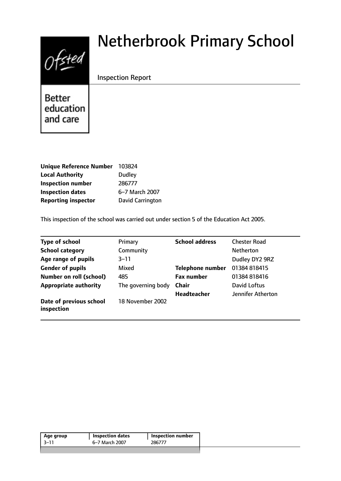# Ofsted

# Netherbrook Primary School

Inspection Report

**Better** education and care

| Unique Reference Number 103824 |                         |
|--------------------------------|-------------------------|
| <b>Local Authority</b>         | <b>Dudley</b>           |
| <b>Inspection number</b>       | 286777                  |
| <b>Inspection dates</b>        | 6-7 March 2007          |
| <b>Reporting inspector</b>     | <b>David Carrington</b> |

This inspection of the school was carried out under section 5 of the Education Act 2005.

| <b>Type of school</b>                 | Primary            | <b>School address</b>   | <b>Chester Road</b> |
|---------------------------------------|--------------------|-------------------------|---------------------|
| <b>School category</b>                | Community          |                         | <b>Netherton</b>    |
| Age range of pupils                   | $3 - 11$           |                         | Dudley DY2 9RZ      |
| <b>Gender of pupils</b>               | Mixed              | <b>Telephone number</b> | 01384 818415        |
| <b>Number on roll (school)</b>        | 485                | <b>Fax number</b>       | 01384818416         |
| <b>Appropriate authority</b>          | The governing body | Chair                   | David Loftus        |
|                                       |                    | <b>Headteacher</b>      | Jennifer Atherton   |
| Date of previous school<br>inspection | 18 November 2002   |                         |                     |

| 286777<br>6-7 March 2007<br>-3–11 | Age group | <b>Inspection dates</b> | Inspection number |
|-----------------------------------|-----------|-------------------------|-------------------|
|                                   |           |                         |                   |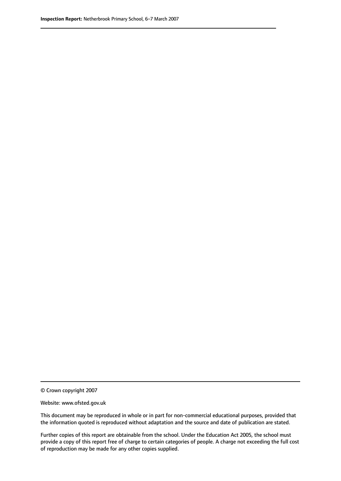© Crown copyright 2007

Website: www.ofsted.gov.uk

This document may be reproduced in whole or in part for non-commercial educational purposes, provided that the information quoted is reproduced without adaptation and the source and date of publication are stated.

Further copies of this report are obtainable from the school. Under the Education Act 2005, the school must provide a copy of this report free of charge to certain categories of people. A charge not exceeding the full cost of reproduction may be made for any other copies supplied.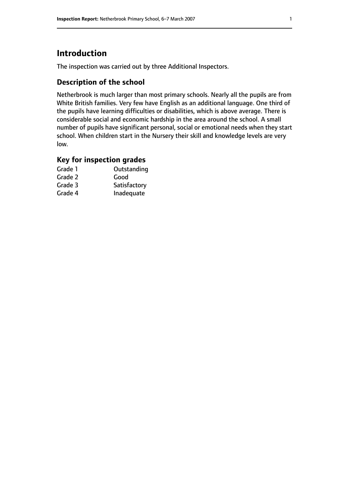# **Introduction**

The inspection was carried out by three Additional Inspectors.

# **Description of the school**

Netherbrook is much larger than most primary schools. Nearly all the pupils are from White British families. Very few have English as an additional language. One third of the pupils have learning difficulties or disabilities, which is above average. There is considerable social and economic hardship in the area around the school. A small number of pupils have significant personal, social or emotional needs when they start school. When children start in the Nursery their skill and knowledge levels are very low.

# **Key for inspection grades**

| Grade 1 | Outstanding  |
|---------|--------------|
| Grade 2 | Good         |
| Grade 3 | Satisfactory |
| Grade 4 | Inadequate   |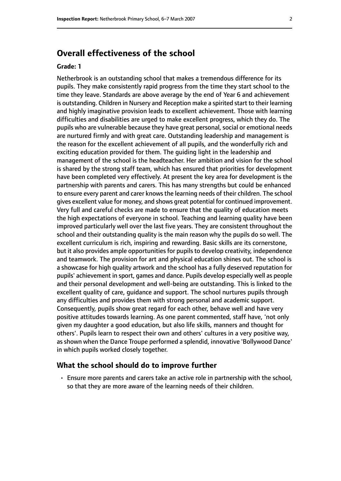# **Overall effectiveness of the school**

#### **Grade: 1**

Netherbrook is an outstanding school that makes a tremendous difference for its pupils. They make consistently rapid progress from the time they start school to the time they leave. Standards are above average by the end of Year 6 and achievement is outstanding. Children in Nursery and Reception make a spirited start to their learning and highly imaginative provision leads to excellent achievement. Those with learning difficulties and disabilities are urged to make excellent progress, which they do. The pupils who are vulnerable because they have great personal, social or emotional needs are nurtured firmly and with great care. Outstanding leadership and management is the reason for the excellent achievement of all pupils, and the wonderfully rich and exciting education provided for them. The guiding light in the leadership and management of the school is the headteacher. Her ambition and vision for the school is shared by the strong staff team, which has ensured that priorities for development have been completed very effectively. At present the key area for development is the partnership with parents and carers. This has many strengths but could be enhanced to ensure every parent and carer knows the learning needs of their children. The school gives excellent value for money, and shows great potential for continued improvement. Very full and careful checks are made to ensure that the quality of education meets the high expectations of everyone in school. Teaching and learning quality have been improved particularly well over the last five years. They are consistent throughout the school and their outstanding quality is the main reason why the pupils do so well. The excellent curriculum is rich, inspiring and rewarding. Basic skills are its cornerstone, but it also provides ample opportunities for pupils to develop creativity, independence and teamwork. The provision for art and physical education shines out. The school is a showcase for high quality artwork and the school has a fully deserved reputation for pupils' achievement in sport, games and dance. Pupils develop especially well as people and their personal development and well-being are outstanding. This is linked to the excellent quality of care, guidance and support. The school nurtures pupils through any difficulties and provides them with strong personal and academic support. Consequently, pupils show great regard for each other, behave well and have very positive attitudes towards learning. As one parent commented, staff have, 'not only given my daughter a good education, but also life skills, manners and thought for others'. Pupils learn to respect their own and others' cultures in a very positive way, as shown when the Dance Troupe performed a splendid, innovative 'Bollywood Dance' in which pupils worked closely together.

#### **What the school should do to improve further**

• Ensure more parents and carers take an active role in partnership with the school, so that they are more aware of the learning needs of their children.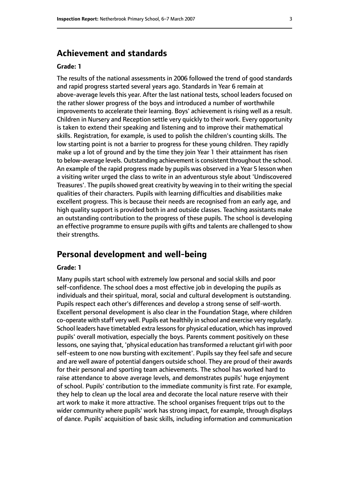# **Achievement and standards**

#### **Grade: 1**

The results of the national assessments in 2006 followed the trend of good standards and rapid progress started several years ago. Standards in Year 6 remain at above-average levels this year. After the last national tests, school leaders focused on the rather slower progress of the boys and introduced a number of worthwhile improvements to accelerate their learning. Boys' achievement is rising well as a result. Children in Nursery and Reception settle very quickly to their work. Every opportunity is taken to extend their speaking and listening and to improve their mathematical skills. Registration, for example, is used to polish the children's counting skills. The low starting point is not a barrier to progress for these young children. They rapidly make up a lot of ground and by the time they join Year 1 their attainment has risen to below-average levels. Outstanding achievement is consistent throughout the school. An example of the rapid progress made by pupils was observed in a Year 5 lesson when a visiting writer urged the class to write in an adventurous style about 'Undiscovered Treasures'. The pupils showed great creativity by weaving in to their writing the special qualities of their characters. Pupils with learning difficulties and disabilities make excellent progress. This is because their needs are recognised from an early age, and high quality support is provided both in and outside classes. Teaching assistants make an outstanding contribution to the progress of these pupils. The school is developing an effective programme to ensure pupils with gifts and talents are challenged to show their strengths.

# **Personal development and well-being**

#### **Grade: 1**

Many pupils start school with extremely low personal and social skills and poor self-confidence. The school does a most effective job in developing the pupils as individuals and their spiritual, moral, social and cultural development is outstanding. Pupils respect each other's differences and develop a strong sense of self-worth. Excellent personal development is also clear in the Foundation Stage, where children co-operate with staff very well. Pupils eat healthily in school and exercise very regularly. School leaders have timetabled extra lessons for physical education, which has improved pupils' overall motivation, especially the boys. Parents comment positively on these lessons, one saying that, 'physical education has transformed a reluctant girl with poor self-esteem to one now bursting with excitement'. Pupils say they feel safe and secure and are well aware of potential dangers outside school. They are proud of their awards for their personal and sporting team achievements. The school has worked hard to raise attendance to above average levels, and demonstrates pupils' huge enjoyment of school. Pupils' contribution to the immediate community is first rate. For example, they help to clean up the local area and decorate the local nature reserve with their art work to make it more attractive. The school organises frequent trips out to the wider community where pupils' work has strong impact, for example, through displays of dance. Pupils' acquisition of basic skills, including information and communication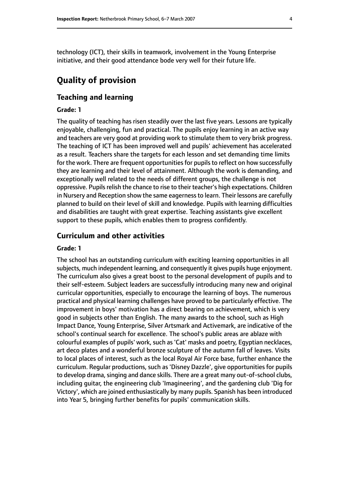technology (ICT), their skills in teamwork, involvement in the Young Enterprise initiative, and their good attendance bode very well for their future life.

# **Quality of provision**

#### **Teaching and learning**

#### **Grade: 1**

The quality of teaching has risen steadily over the last five years. Lessons are typically enjoyable, challenging, fun and practical. The pupils enjoy learning in an active way and teachers are very good at providing work to stimulate them to very brisk progress. The teaching of ICT has been improved well and pupils' achievement has accelerated as a result. Teachers share the targets for each lesson and set demanding time limits for the work. There are frequent opportunities for pupils to reflect on how successfully they are learning and their level of attainment. Although the work is demanding, and exceptionally well related to the needs of different groups, the challenge is not oppressive. Pupils relish the chance to rise to their teacher's high expectations. Children in Nursery and Reception show the same eagernessto learn. Their lessons are carefully planned to build on their level of skill and knowledge. Pupils with learning difficulties and disabilities are taught with great expertise. Teaching assistants give excellent support to these pupils, which enables them to progress confidently.

#### **Curriculum and other activities**

#### **Grade: 1**

The school has an outstanding curriculum with exciting learning opportunities in all subjects, much independent learning, and consequently it gives pupils huge enjoyment. The curriculum also gives a great boost to the personal development of pupils and to their self-esteem. Subject leaders are successfully introducing many new and original curricular opportunities, especially to encourage the learning of boys. The numerous practical and physical learning challenges have proved to be particularly effective. The improvement in boys' motivation has a direct bearing on achievement, which is very good in subjects other than English. The many awards to the school, such as High Impact Dance, Young Enterprise, Silver Artsmark and Activemark, are indicative of the school's continual search for excellence. The school's public areas are ablaze with colourful examples of pupils' work, such as 'Cat' masks and poetry, Egyptian necklaces, art deco plates and a wonderful bronze sculpture of the autumn fall of leaves. Visits to local places of interest, such as the local Royal Air Force base, further enhance the curriculum. Regular productions, such as 'Disney Dazzle', give opportunities for pupils to develop drama, singing and dance skills. There are a great many out-of-school clubs, including guitar, the engineering club 'Imagineering', and the gardening club 'Dig for Victory', which are joined enthusiastically by many pupils. Spanish has been introduced into Year 5, bringing further benefits for pupils' communication skills.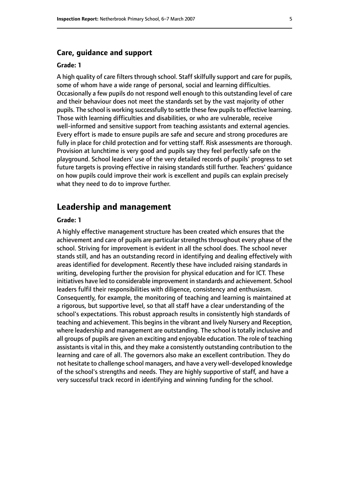#### **Care, guidance and support**

#### **Grade: 1**

A high quality of care filters through school. Staff skilfully support and care for pupils, some of whom have a wide range of personal, social and learning difficulties. Occasionally a few pupils do not respond well enough to this outstanding level of care and their behaviour does not meet the standards set by the vast majority of other pupils. The school is working successfully to settle these few pupils to effective learning. Those with learning difficulties and disabilities, or who are vulnerable, receive well-informed and sensitive support from teaching assistants and external agencies. Every effort is made to ensure pupils are safe and secure and strong procedures are fully in place for child protection and for vetting staff. Risk assessments are thorough. Provision at lunchtime is very good and pupils say they feel perfectly safe on the playground. School leaders' use of the very detailed records of pupils' progress to set future targets is proving effective in raising standards still further. Teachers' guidance on how pupils could improve their work is excellent and pupils can explain precisely what they need to do to improve further.

#### **Leadership and management**

#### **Grade: 1**

A highly effective management structure has been created which ensures that the achievement and care of pupils are particular strengths throughout every phase of the school. Striving for improvement is evident in all the school does. The school never stands still, and has an outstanding record in identifying and dealing effectively with areas identified for development. Recently these have included raising standards in writing, developing further the provision for physical education and for ICT. These initiatives have led to considerable improvement in standards and achievement. School leaders fulfil their responsibilities with diligence, consistency and enthusiasm. Consequently, for example, the monitoring of teaching and learning is maintained at a rigorous, but supportive level, so that all staff have a clear understanding of the school's expectations. This robust approach results in consistently high standards of teaching and achievement. This begins in the vibrant and lively Nursery and Reception, where leadership and management are outstanding. The school is totally inclusive and all groups of pupils are given an exciting and enjoyable education. The role of teaching assistants is vital in this, and they make a consistently outstanding contribution to the learning and care of all. The governors also make an excellent contribution. They do not hesitate to challenge school managers, and have a very well-developed knowledge of the school's strengths and needs. They are highly supportive of staff, and have a very successful track record in identifying and winning funding for the school.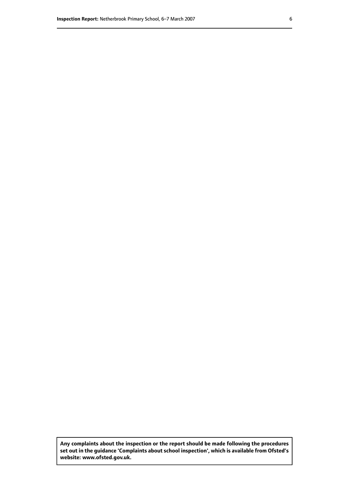**Any complaints about the inspection or the report should be made following the procedures set out inthe guidance 'Complaints about school inspection', whichis available from Ofsted's website: www.ofsted.gov.uk.**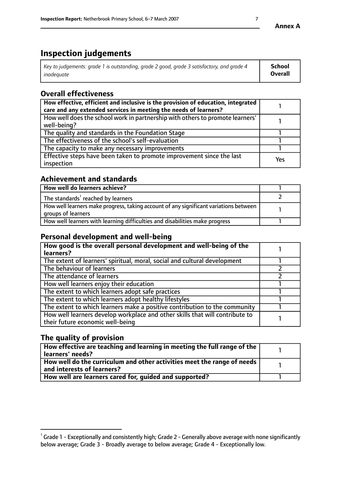# **Inspection judgements**

| Key to judgements: grade 1 is outstanding, grade 2 good, grade 3 satisfactory, and grade 4 | School         |
|--------------------------------------------------------------------------------------------|----------------|
| inadeauate                                                                                 | <b>Overall</b> |

# **Overall effectiveness**

| How effective, efficient and inclusive is the provision of education, integrated<br>care and any extended services in meeting the needs of learners? |     |
|------------------------------------------------------------------------------------------------------------------------------------------------------|-----|
| How well does the school work in partnership with others to promote learners'<br>well-being?                                                         |     |
| The quality and standards in the Foundation Stage                                                                                                    |     |
| The effectiveness of the school's self-evaluation                                                                                                    |     |
| The capacity to make any necessary improvements                                                                                                      |     |
| Effective steps have been taken to promote improvement since the last<br>inspection                                                                  | Yes |

# **Achievement and standards**

| How well do learners achieve?                                                                               |  |
|-------------------------------------------------------------------------------------------------------------|--|
| The standards <sup>1</sup> reached by learners                                                              |  |
| How well learners make progress, taking account of any significant variations between<br>groups of learners |  |
| How well learners with learning difficulties and disabilities make progress                                 |  |

### **Personal development and well-being**

| How good is the overall personal development and well-being of the<br>learners?                                  |  |
|------------------------------------------------------------------------------------------------------------------|--|
| The extent of learners' spiritual, moral, social and cultural development                                        |  |
| The behaviour of learners                                                                                        |  |
| The attendance of learners                                                                                       |  |
| How well learners enjoy their education                                                                          |  |
| The extent to which learners adopt safe practices                                                                |  |
| The extent to which learners adopt healthy lifestyles                                                            |  |
| The extent to which learners make a positive contribution to the community                                       |  |
| How well learners develop workplace and other skills that will contribute to<br>their future economic well-being |  |

# **The quality of provision**

| How effective are teaching and learning in meeting the full range of the<br>  learners' needs?                      |  |
|---------------------------------------------------------------------------------------------------------------------|--|
| $\mid$ How well do the curriculum and other activities meet the range of needs<br>$\mid$ and interests of learners? |  |
| How well are learners cared for, guided and supported?                                                              |  |

 $^1$  Grade 1 - Exceptionally and consistently high; Grade 2 - Generally above average with none significantly below average; Grade 3 - Broadly average to below average; Grade 4 - Exceptionally low.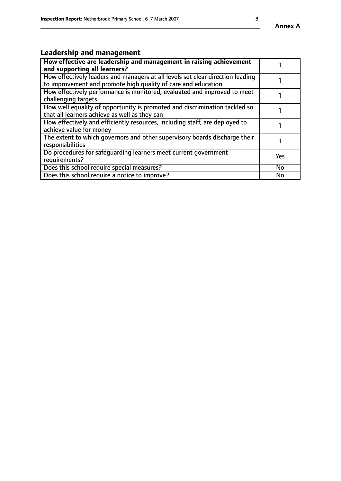#### **Annex A**

# **Leadership and management**

| How effective are leadership and management in raising achievement<br>and supporting all learners?                                              |           |
|-------------------------------------------------------------------------------------------------------------------------------------------------|-----------|
| How effectively leaders and managers at all levels set clear direction leading<br>to improvement and promote high quality of care and education |           |
| How effectively performance is monitored, evaluated and improved to meet<br>challenging targets                                                 |           |
| How well equality of opportunity is promoted and discrimination tackled so<br>that all learners achieve as well as they can                     |           |
| How effectively and efficiently resources, including staff, are deployed to<br>achieve value for money                                          |           |
| The extent to which governors and other supervisory boards discharge their<br>responsibilities                                                  |           |
| Do procedures for safequarding learners meet current government<br>requirements?                                                                | Yes       |
| Does this school require special measures?                                                                                                      | <b>No</b> |
| Does this school require a notice to improve?                                                                                                   | <b>No</b> |